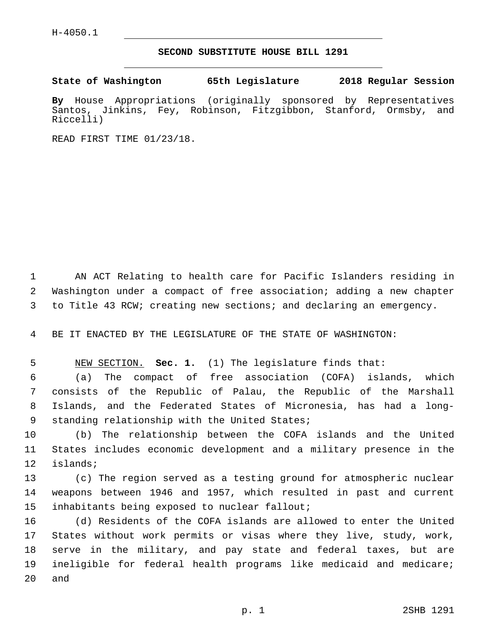## **SECOND SUBSTITUTE HOUSE BILL 1291**

**State of Washington 65th Legislature 2018 Regular Session**

**By** House Appropriations (originally sponsored by Representatives Santos, Jinkins, Fey, Robinson, Fitzgibbon, Stanford, Ormsby, and Riccelli)

READ FIRST TIME 01/23/18.

1 AN ACT Relating to health care for Pacific Islanders residing in 2 Washington under a compact of free association; adding a new chapter 3 to Title 43 RCW; creating new sections; and declaring an emergency.

4 BE IT ENACTED BY THE LEGISLATURE OF THE STATE OF WASHINGTON:

5 NEW SECTION. **Sec. 1.** (1) The legislature finds that:

 (a) The compact of free association (COFA) islands, which consists of the Republic of Palau, the Republic of the Marshall Islands, and the Federated States of Micronesia, has had a long-9 standing relationship with the United States;

10 (b) The relationship between the COFA islands and the United 11 States includes economic development and a military presence in the 12 islands;

13 (c) The region served as a testing ground for atmospheric nuclear 14 weapons between 1946 and 1957, which resulted in past and current 15 inhabitants being exposed to nuclear fallout;

 (d) Residents of the COFA islands are allowed to enter the United States without work permits or visas where they live, study, work, serve in the military, and pay state and federal taxes, but are ineligible for federal health programs like medicaid and medicare; 20 and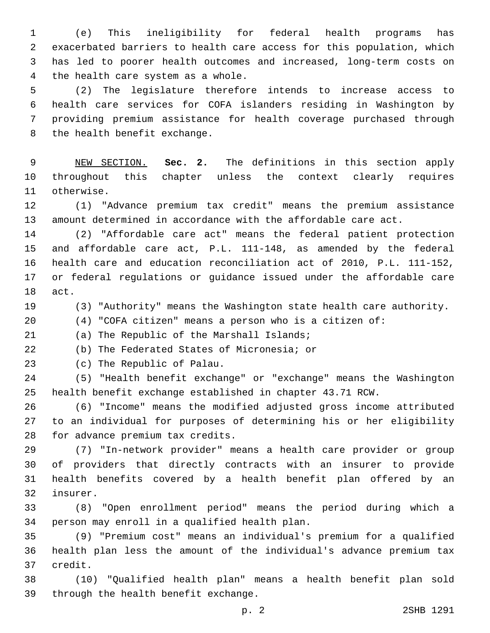(e) This ineligibility for federal health programs has exacerbated barriers to health care access for this population, which has led to poorer health outcomes and increased, long-term costs on 4 the health care system as a whole.

 (2) The legislature therefore intends to increase access to health care services for COFA islanders residing in Washington by providing premium assistance for health coverage purchased through 8 the health benefit exchange.

 NEW SECTION. **Sec. 2.** The definitions in this section apply throughout this chapter unless the context clearly requires otherwise.

 (1) "Advance premium tax credit" means the premium assistance amount determined in accordance with the affordable care act.

 (2) "Affordable care act" means the federal patient protection and affordable care act, P.L. 111-148, as amended by the federal health care and education reconciliation act of 2010, P.L. 111-152, or federal regulations or guidance issued under the affordable care 18 act.

(3) "Authority" means the Washington state health care authority.

(4) "COFA citizen" means a person who is a citizen of:

21 (a) The Republic of the Marshall Islands;

(b) The Federated States of Micronesia; or

23 (c) The Republic of Palau.

 (5) "Health benefit exchange" or "exchange" means the Washington health benefit exchange established in chapter 43.71 RCW.

 (6) "Income" means the modified adjusted gross income attributed to an individual for purposes of determining his or her eligibility 28 for advance premium tax credits.

 (7) "In-network provider" means a health care provider or group of providers that directly contracts with an insurer to provide health benefits covered by a health benefit plan offered by an 32 insurer.

 (8) "Open enrollment period" means the period during which a 34 person may enroll in a qualified health plan.

 (9) "Premium cost" means an individual's premium for a qualified health plan less the amount of the individual's advance premium tax 37 credit.

 (10) "Qualified health plan" means a health benefit plan sold 39 through the health benefit exchange.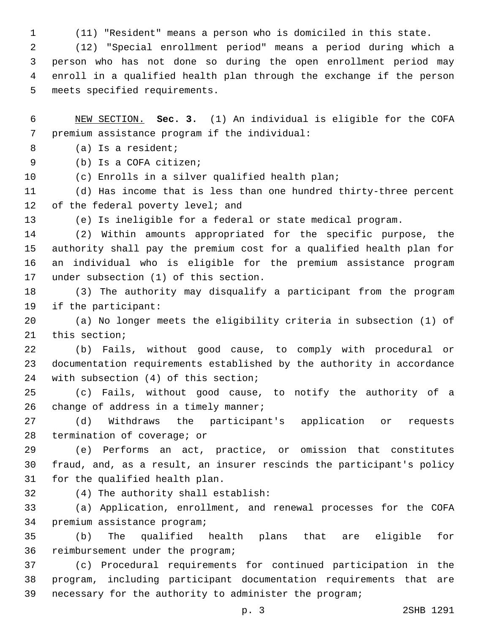(11) "Resident" means a person who is domiciled in this state.

 (12) "Special enrollment period" means a period during which a person who has not done so during the open enrollment period may enroll in a qualified health plan through the exchange if the person 5 meets specified requirements.

 NEW SECTION. **Sec. 3.** (1) An individual is eligible for the COFA premium assistance program if the individual:

(a) Is a resident;8

9 (b) Is a COFA citizen;

(c) Enrolls in a silver qualified health plan;

 (d) Has income that is less than one hundred thirty-three percent 12 of the federal poverty level; and

(e) Is ineligible for a federal or state medical program.

 (2) Within amounts appropriated for the specific purpose, the authority shall pay the premium cost for a qualified health plan for an individual who is eligible for the premium assistance program 17 under subsection (1) of this section.

 (3) The authority may disqualify a participant from the program 19 if the participant:

 (a) No longer meets the eligibility criteria in subsection (1) of 21 this section;

 (b) Fails, without good cause, to comply with procedural or documentation requirements established by the authority in accordance 24 with subsection (4) of this section;

 (c) Fails, without good cause, to notify the authority of a 26 change of address in a timely manner;

 (d) Withdraws the participant's application or requests 28 termination of coverage; or

 (e) Performs an act, practice, or omission that constitutes fraud, and, as a result, an insurer rescinds the participant's policy 31 for the qualified health plan.

(4) The authority shall establish:32

 (a) Application, enrollment, and renewal processes for the COFA 34 premium assistance program;

 (b) The qualified health plans that are eligible for 36 reimbursement under the program;

 (c) Procedural requirements for continued participation in the program, including participant documentation requirements that are necessary for the authority to administer the program;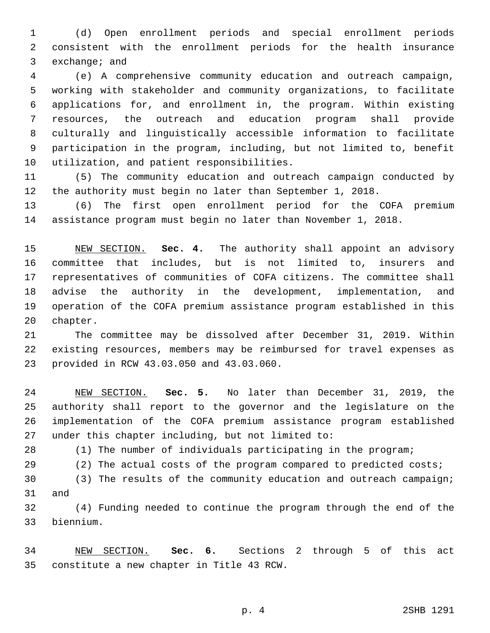(d) Open enrollment periods and special enrollment periods consistent with the enrollment periods for the health insurance 3 exchange; and

 (e) A comprehensive community education and outreach campaign, working with stakeholder and community organizations, to facilitate applications for, and enrollment in, the program. Within existing resources, the outreach and education program shall provide culturally and linguistically accessible information to facilitate participation in the program, including, but not limited to, benefit 10 utilization, and patient responsibilities.

 (5) The community education and outreach campaign conducted by the authority must begin no later than September 1, 2018.

 (6) The first open enrollment period for the COFA premium assistance program must begin no later than November 1, 2018.

 NEW SECTION. **Sec. 4.** The authority shall appoint an advisory committee that includes, but is not limited to, insurers and representatives of communities of COFA citizens. The committee shall advise the authority in the development, implementation, and operation of the COFA premium assistance program established in this chapter.

 The committee may be dissolved after December 31, 2019. Within existing resources, members may be reimbursed for travel expenses as provided in RCW 43.03.050 and 43.03.060.23

 NEW SECTION. **Sec. 5.** No later than December 31, 2019, the authority shall report to the governor and the legislature on the implementation of the COFA premium assistance program established under this chapter including, but not limited to:

(1) The number of individuals participating in the program;

(2) The actual costs of the program compared to predicted costs;

 (3) The results of the community education and outreach campaign; 31 and

 (4) Funding needed to continue the program through the end of the biennium.33

 NEW SECTION. **Sec. 6.** Sections 2 through 5 of this act constitute a new chapter in Title 43 RCW.